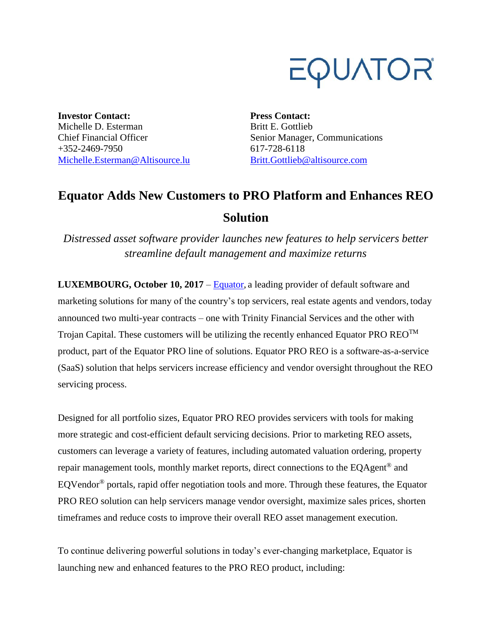

**Investor Contact:** Michelle D. Esterman Chief Financial Officer +352-2469-7950 [Michelle.Esterman@Altisource.lu](mailto:Michelle.Esterman@Altisource.lu) **Press Contact:** Britt E. Gottlieb Senior Manager, Communications 617-728-6118 [Britt.Gottlieb@altisource.com](mailto:Britt.Gottlieb@altisource.com)

## **Equator Adds New Customers to PRO Platform and Enhances REO Solution**

*Distressed asset software provider launches new features to help servicers better streamline default management and maximize returns* 

**LUXEMBOURG, October 10, 2017** – [Equator,](https://www.equator.com/?utm_campaign=EquatorPROREO&utm_source=PR&utm_medium=PR&utm_content=first) a leading provider of default software and marketing solutions for many of the country's top servicers, real estate agents and vendors, today announced two multi-year contracts – one with Trinity Financial Services and the other with Trojan Capital. These customers will be utilizing the recently enhanced Equator PRO  $\text{REO}^{\text{TM}}$ product, part of the Equator PRO line of solutions. Equator PRO REO is a software-as-a-service (SaaS) solution that helps servicers increase efficiency and vendor oversight throughout the REO servicing process.

Designed for all portfolio sizes, Equator PRO REO provides servicers with tools for making more strategic and cost-efficient default servicing decisions. Prior to marketing REO assets, customers can leverage a variety of features, including automated valuation ordering, property repair management tools, monthly market reports, direct connections to the EQAgent® and EQVendor<sup>®</sup> portals, rapid offer negotiation tools and more. Through these features, the Equator PRO REO solution can help servicers manage vendor oversight, maximize sales prices, shorten timeframes and reduce costs to improve their overall REO asset management execution.

To continue delivering powerful solutions in today's ever-changing marketplace, Equator is launching new and enhanced features to the PRO REO product, including: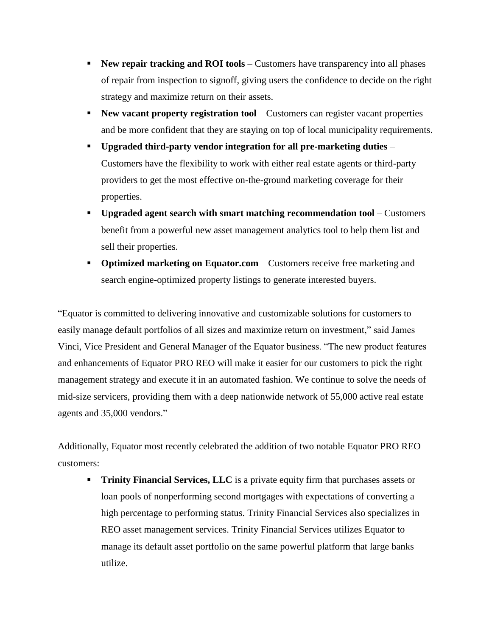- **New repair tracking and ROI tools** Customers have transparency into all phases of repair from inspection to signoff, giving users the confidence to decide on the right strategy and maximize return on their assets.
- **New vacant property registration tool** Customers can register vacant properties and be more confident that they are staying on top of local municipality requirements.
- **Upgraded third-party vendor integration for all pre-marketing duties** Customers have the flexibility to work with either real estate agents or third-party providers to get the most effective on-the-ground marketing coverage for their properties.
- **Upgraded agent search with smart matching recommendation tool** Customers benefit from a powerful new asset management analytics tool to help them list and sell their properties.
- **Optimized marketing on Equator.com** Customers receive free marketing and search engine-optimized property listings to generate interested buyers.

"Equator is committed to delivering innovative and customizable solutions for customers to easily manage default portfolios of all sizes and maximize return on investment," said James Vinci, Vice President and General Manager of the Equator business. "The new product features and enhancements of Equator PRO REO will make it easier for our customers to pick the right management strategy and execute it in an automated fashion. We continue to solve the needs of mid-size servicers, providing them with a deep nationwide network of 55,000 active real estate agents and 35,000 vendors."

Additionally, Equator most recently celebrated the addition of two notable Equator PRO REO customers:

**Trinity Financial Services, LLC** is a private equity firm that purchases assets or loan pools of nonperforming second mortgages with expectations of converting a high percentage to performing status. Trinity Financial Services also specializes in REO asset management services. Trinity Financial Services utilizes Equator to manage its default asset portfolio on the same powerful platform that large banks utilize.